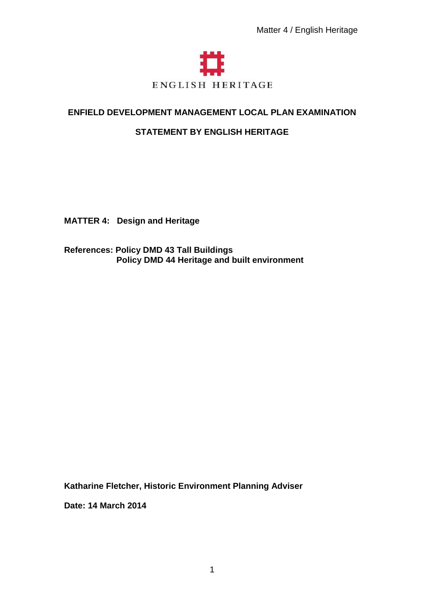

# **ENFIELD DEVELOPMENT MANAGEMENT LOCAL PLAN EXAMINATION**

# **STATEMENT BY ENGLISH HERITAGE**

**MATTER 4: Design and Heritage** 

**References: Policy DMD 43 Tall Buildings Policy DMD 44 Heritage and built environment** 

**Katharine Fletcher, Historic Environment Planning Adviser** 

**Date: 14 March 2014**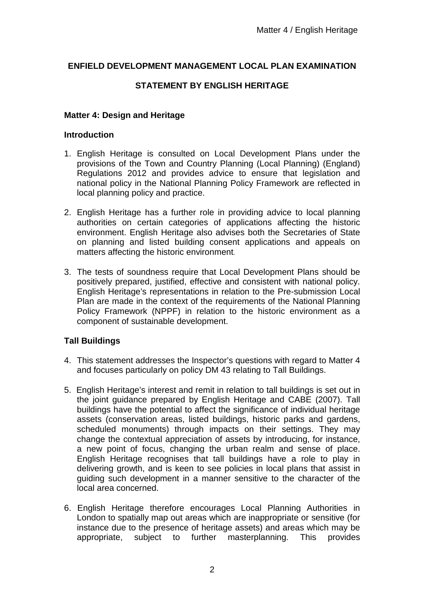## **ENFIELD DEVELOPMENT MANAGEMENT LOCAL PLAN EXAMINATION**

# **STATEMENT BY ENGLISH HERITAGE**

## **Matter 4: Design and Heritage**

#### **Introduction**

- 1. English Heritage is consulted on Local Development Plans under the provisions of the Town and Country Planning (Local Planning) (England) Regulations 2012 and provides advice to ensure that legislation and national policy in the National Planning Policy Framework are reflected in local planning policy and practice.
- 2. English Heritage has a further role in providing advice to local planning authorities on certain categories of applications affecting the historic environment. English Heritage also advises both the Secretaries of State on planning and listed building consent applications and appeals on matters affecting the historic environment.
- 3. The tests of soundness require that Local Development Plans should be positively prepared, justified, effective and consistent with national policy. English Heritage's representations in relation to the Pre-submission Local Plan are made in the context of the requirements of the National Planning Policy Framework (NPPF) in relation to the historic environment as a component of sustainable development.

## **Tall Buildings**

- 4. This statement addresses the Inspector's questions with regard to Matter 4 and focuses particularly on policy DM 43 relating to Tall Buildings.
- 5. English Heritage's interest and remit in relation to tall buildings is set out in the joint guidance prepared by English Heritage and CABE (2007). Tall buildings have the potential to affect the significance of individual heritage assets (conservation areas, listed buildings, historic parks and gardens, scheduled monuments) through impacts on their settings. They may change the contextual appreciation of assets by introducing, for instance, a new point of focus, changing the urban realm and sense of place. English Heritage recognises that tall buildings have a role to play in delivering growth, and is keen to see policies in local plans that assist in guiding such development in a manner sensitive to the character of the local area concerned.
- 6. English Heritage therefore encourages Local Planning Authorities in London to spatially map out areas which are inappropriate or sensitive (for instance due to the presence of heritage assets) and areas which may be appropriate, subject to further masterplanning. This provides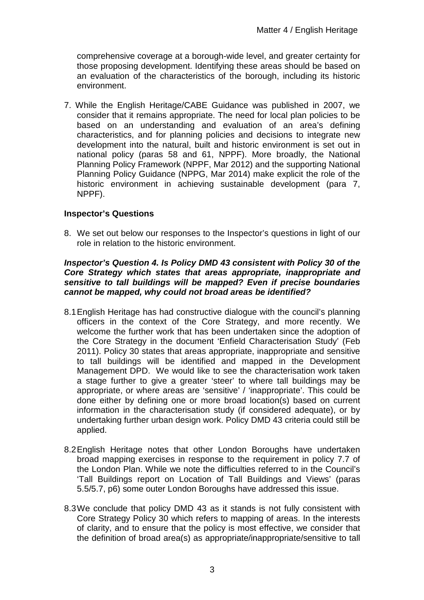comprehensive coverage at a borough-wide level, and greater certainty for those proposing development. Identifying these areas should be based on an evaluation of the characteristics of the borough, including its historic environment.

7. While the English Heritage/CABE Guidance was published in 2007, we consider that it remains appropriate. The need for local plan policies to be based on an understanding and evaluation of an area's defining characteristics, and for planning policies and decisions to integrate new development into the natural, built and historic environment is set out in national policy (paras 58 and 61, NPPF). More broadly, the National Planning Policy Framework (NPPF, Mar 2012) and the supporting National Planning Policy Guidance (NPPG, Mar 2014) make explicit the role of the historic environment in achieving sustainable development (para 7, NPPF).

## **Inspector's Questions**

8. We set out below our responses to the Inspector's questions in light of our role in relation to the historic environment.

#### **Inspector's Question 4. Is Policy DMD 43 consistent with Policy 30 of the Core Strategy which states that areas appropriate, inappropriate and sensitive to tall buildings will be mapped? Even if precise boundaries cannot be mapped, why could not broad areas be identified?**

- 8.1 English Heritage has had constructive dialogue with the council's planning officers in the context of the Core Strategy, and more recently. We welcome the further work that has been undertaken since the adoption of the Core Strategy in the document 'Enfield Characterisation Study' (Feb 2011). Policy 30 states that areas appropriate, inappropriate and sensitive to tall buildings will be identified and mapped in the Development Management DPD. We would like to see the characterisation work taken a stage further to give a greater 'steer' to where tall buildings may be appropriate, or where areas are 'sensitive' / 'inappropriate'. This could be done either by defining one or more broad location(s) based on current information in the characterisation study (if considered adequate), or by undertaking further urban design work. Policy DMD 43 criteria could still be applied.
- 8.2 English Heritage notes that other London Boroughs have undertaken broad mapping exercises in response to the requirement in policy 7.7 of the London Plan. While we note the difficulties referred to in the Council's 'Tall Buildings report on Location of Tall Buildings and Views' (paras 5.5/5.7, p6) some outer London Boroughs have addressed this issue.
- 8.3 We conclude that policy DMD 43 as it stands is not fully consistent with Core Strategy Policy 30 which refers to mapping of areas. In the interests of clarity, and to ensure that the policy is most effective, we consider that the definition of broad area(s) as appropriate/inappropriate/sensitive to tall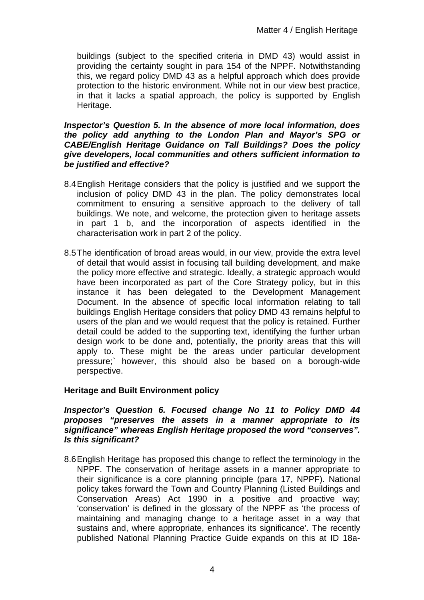buildings (subject to the specified criteria in DMD 43) would assist in providing the certainty sought in para 154 of the NPPF. Notwithstanding this, we regard policy DMD 43 as a helpful approach which does provide protection to the historic environment. While not in our view best practice, in that it lacks a spatial approach, the policy is supported by English Heritage.

#### **Inspector's Question 5. In the absence of more local information, does the policy add anything to the London Plan and Mayor's SPG or CABE/English Heritage Guidance on Tall Buildings? Does the policy give developers, local communities and others sufficient information to be justified and effective?**

- 8.4 English Heritage considers that the policy is justified and we support the inclusion of policy DMD 43 in the plan. The policy demonstrates local commitment to ensuring a sensitive approach to the delivery of tall buildings. We note, and welcome, the protection given to heritage assets in part 1 b, and the incorporation of aspects identified in the characterisation work in part 2 of the policy.
- 8.5 The identification of broad areas would, in our view, provide the extra level of detail that would assist in focusing tall building development, and make the policy more effective and strategic. Ideally, a strategic approach would have been incorporated as part of the Core Strategy policy, but in this instance it has been delegated to the Development Management Document. In the absence of specific local information relating to tall buildings English Heritage considers that policy DMD 43 remains helpful to users of the plan and we would request that the policy is retained. Further detail could be added to the supporting text, identifying the further urban design work to be done and, potentially, the priority areas that this will apply to. These might be the areas under particular development pressure;` however, this should also be based on a borough-wide perspective.

## **Heritage and Built Environment policy**

**Inspector's Question 6. Focused change No 11 to Policy DMD 44 proposes "preserves the assets in a manner appropriate to its significance" whereas English Heritage proposed the word "conserves". Is this significant?** 

8.6 English Heritage has proposed this change to reflect the terminology in the NPPF. The conservation of heritage assets in a manner appropriate to their significance is a core planning principle (para 17, NPPF). National policy takes forward the Town and Country Planning (Listed Buildings and Conservation Areas) Act 1990 in a positive and proactive way; 'conservation' is defined in the glossary of the NPPF as 'the process of maintaining and managing change to a heritage asset in a way that sustains and, where appropriate, enhances its significance'. The recently published National Planning Practice Guide expands on this at ID 18a